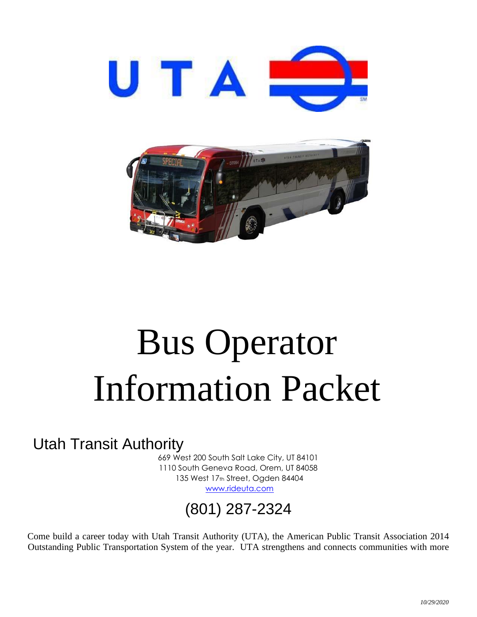



# Bus Operator Information Packet

### Utah Transit Authority

669 West 200 South Salt Lake City, UT 84101 1110 South Geneva Road, Orem, UT 84058 135 West 17th Street, Ogden 84404 [www.rideuta.com](http://www.rideuta.com/)

# (801) 287-2324

Come build a career today with Utah Transit Authority (UTA), the American Public Transit Association 2014 Outstanding Public Transportation System of the year. UTA strengthens and connects communities with more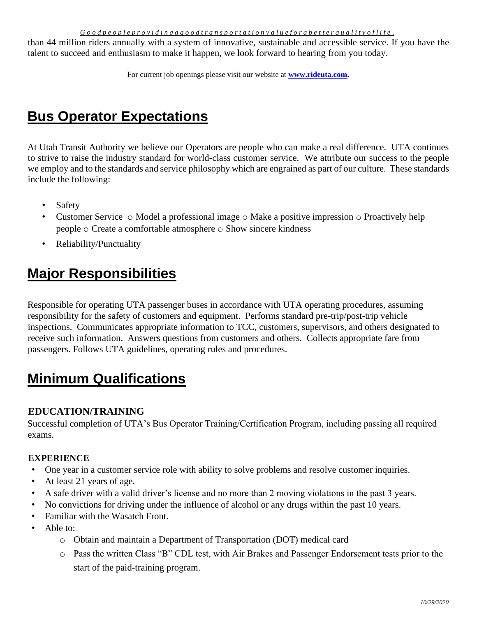than 44 million riders annually with a system of innovative, sustainable and accessible service. If you have the talent to succeed and enthusiasm to make it happen, we look forward to hearing from you today.

For current job openings please visit our website at **[www.rideuta.com.](http://www.rideuta.com/)**

## **Bus Operator Expectations**

At Utah Transit Authority we believe our Operators are people who can make a real difference. UTA continues to strive to raise the industry standard for world-class customer service. We attribute our success to the people we employ and to the standards and service philosophy which are engrained as part of our culture. These standards include the following:

- Safety
- Customer Service  $\circ$  Model a professional image  $\circ$  Make a positive impression  $\circ$  Proactively help people o Create a comfortable atmosphere o Show sincere kindness
- Reliability/Punctuality

### **Major Responsibilities**

Responsible for operating UTA passenger buses in accordance with UTA operating procedures, assuming responsibility for the safety of customers and equipment. Performs standard pre-trip/post-trip vehicle inspections. Communicates appropriate information to TCC, customers, supervisors, and others designated to receive such information. Answers questions from customers and others. Collects appropriate fare from passengers. Follows UTA guidelines, operating rules and procedures.

# **Minimum Qualifications**

#### **EDUCATION/TRAINING**

Successful completion of UTA's Bus Operator Training/Certification Program, including passing all required exams.

#### **EXPERIENCE**

- One year in a customer service role with ability to solve problems and resolve customer inquiries.
- At least 21 years of age.
- A safe driver with a valid driver's license and no more than 2 moving violations in the past 3 years.
- No convictions for driving under the influence of alcohol or any drugs within the past 10 years.
- Familiar with the Wasatch Front.
- Able to:
	- o Obtain and maintain a Department of Transportation (DOT) medical card
	- o Pass the written Class "B" CDL test, with Air Brakes and Passenger Endorsement tests prior to the start of the paid-training program.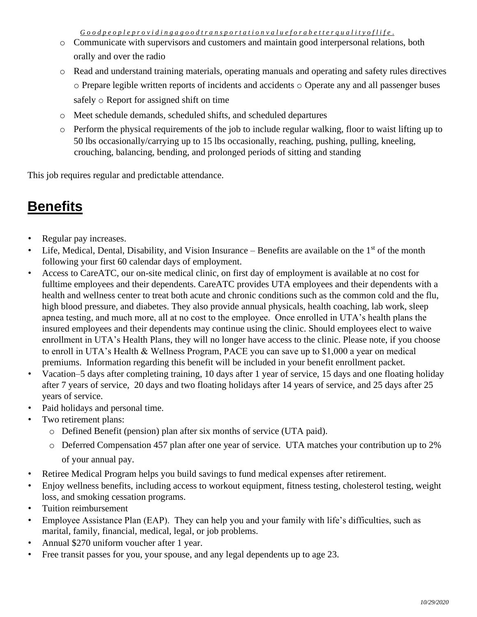- o Communicate with supervisors and customers and maintain good interpersonal relations, both orally and over the radio
- o Read and understand training materials, operating manuals and operating and safety rules directives o Prepare legible written reports of incidents and accidents o Operate any and all passenger buses safely o Report for assigned shift on time
- o Meet schedule demands, scheduled shifts, and scheduled departures
- $\circ$  Perform the physical requirements of the job to include regular walking, floor to waist lifting up to 50 lbs occasionally/carrying up to 15 lbs occasionally, reaching, pushing, pulling, kneeling, crouching, balancing, bending, and prolonged periods of sitting and standing

This job requires regular and predictable attendance.

#### **Benefits**

- Regular pay increases.
- Life, Medical, Dental, Disability, and Vision Insurance Benefits are available on the  $1<sup>st</sup>$  of the month following your first 60 calendar days of employment.
- Access to CareATC, our on-site medical clinic, on first day of employment is available at no cost for fulltime employees and their dependents. CareATC provides UTA employees and their dependents with a health and wellness center to treat both acute and chronic conditions such as the common cold and the flu, high blood pressure, and diabetes. They also provide annual physicals, health coaching, lab work, sleep apnea testing, and much more, all at no cost to the employee. Once enrolled in UTA's health plans the insured employees and their dependents may continue using the clinic. Should employees elect to waive enrollment in UTA's Health Plans, they will no longer have access to the clinic. Please note, if you choose to enroll in UTA's Health & Wellness Program, PACE you can save up to \$1,000 a year on medical premiums. Information regarding this benefit will be included in your benefit enrollment packet.
- Vacation–5 days after completing training, 10 days after 1 year of service, 15 days and one floating holiday after 7 years of service, 20 days and two floating holidays after 14 years of service, and 25 days after 25 years of service.
- Paid holidays and personal time.
- Two retirement plans:
	- o Defined Benefit (pension) plan after six months of service (UTA paid).
	- o Deferred Compensation 457 plan after one year of service. UTA matches your contribution up to 2% of your annual pay.
- Retiree Medical Program helps you build savings to fund medical expenses after retirement.
- Enjoy wellness benefits, including access to workout equipment, fitness testing, cholesterol testing, weight loss, and smoking cessation programs.
- Tuition reimbursement
- Employee Assistance Plan (EAP). They can help you and your family with life's difficulties, such as marital, family, financial, medical, legal, or job problems.
- Annual \$270 uniform voucher after 1 year.
- Free transit passes for you, your spouse, and any legal dependents up to age 23.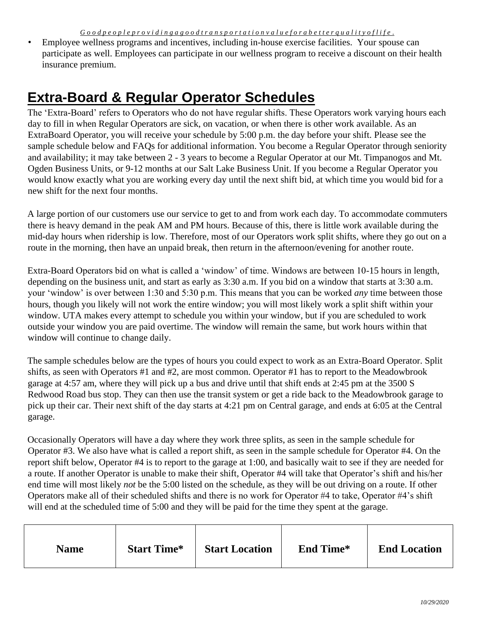• Employee wellness programs and incentives, including in-house exercise facilities. Your spouse can participate as well. Employees can participate in our wellness program to receive a discount on their health insurance premium.

#### **Extra-Board & Regular Operator Schedules**

The 'Extra-Board' refers to Operators who do not have regular shifts. These Operators work varying hours each day to fill in when Regular Operators are sick, on vacation, or when there is other work available. As an ExtraBoard Operator, you will receive your schedule by 5:00 p.m. the day before your shift. Please see the sample schedule below and FAQs for additional information. You become a Regular Operator through seniority and availability; it may take between 2 - 3 years to become a Regular Operator at our Mt. Timpanogos and Mt. Ogden Business Units, or 9-12 months at our Salt Lake Business Unit. If you become a Regular Operator you would know exactly what you are working every day until the next shift bid, at which time you would bid for a new shift for the next four months.

A large portion of our customers use our service to get to and from work each day. To accommodate commuters there is heavy demand in the peak AM and PM hours. Because of this, there is little work available during the mid-day hours when ridership is low. Therefore, most of our Operators work split shifts, where they go out on a route in the morning, then have an unpaid break, then return in the afternoon/evening for another route.

Extra-Board Operators bid on what is called a 'window' of time. Windows are between 10-15 hours in length, depending on the business unit, and start as early as 3:30 a.m. If you bid on a window that starts at 3:30 a.m. your 'window' is over between 1:30 and 5:30 p.m. This means that you can be worked *any* time between those hours, though you likely will not work the entire window; you will most likely work a split shift within your window. UTA makes every attempt to schedule you within your window, but if you are scheduled to work outside your window you are paid overtime. The window will remain the same, but work hours within that window will continue to change daily.

The sample schedules below are the types of hours you could expect to work as an Extra-Board Operator. Split shifts, as seen with Operators #1 and #2, are most common. Operator #1 has to report to the Meadowbrook garage at 4:57 am, where they will pick up a bus and drive until that shift ends at 2:45 pm at the 3500 S Redwood Road bus stop. They can then use the transit system or get a ride back to the Meadowbrook garage to pick up their car. Their next shift of the day starts at 4:21 pm on Central garage, and ends at 6:05 at the Central garage.

Occasionally Operators will have a day where they work three splits, as seen in the sample schedule for Operator #3. We also have what is called a report shift, as seen in the sample schedule for Operator #4. On the report shift below, Operator #4 is to report to the garage at 1:00, and basically wait to see if they are needed for a route. If another Operator is unable to make their shift, Operator #4 will take that Operator's shift and his/her end time will most likely *not* be the 5:00 listed on the schedule, as they will be out driving on a route. If other Operators make all of their scheduled shifts and there is no work for Operator #4 to take, Operator #4's shift will end at the scheduled time of 5:00 and they will be paid for the time they spent at the garage.

| <b>Name</b> | <b>Start Time*</b> | <b>Start Location</b> | <b>End Time*</b> | <b>End Location</b> |
|-------------|--------------------|-----------------------|------------------|---------------------|
|-------------|--------------------|-----------------------|------------------|---------------------|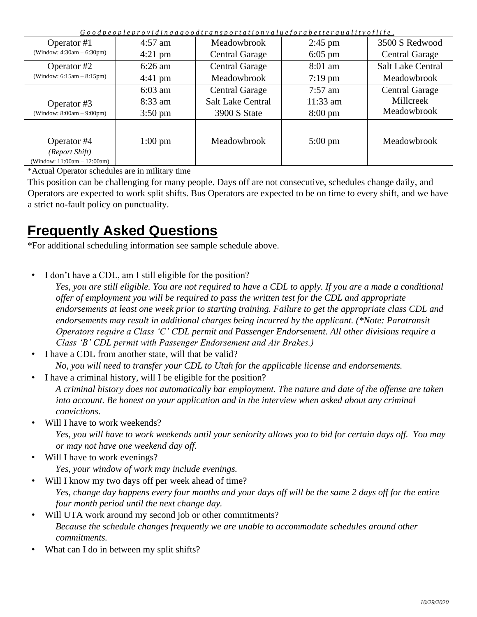| $\sigma$ o o a pe o pie pro viaingago o airans po rialion valuejo rabeller quality o jilje . |                   |                          |                   |                          |  |
|----------------------------------------------------------------------------------------------|-------------------|--------------------------|-------------------|--------------------------|--|
| Operator #1                                                                                  | $4:57$ am         | <b>Meadowbrook</b>       | $2:45$ pm         | 3500 S Redwood           |  |
| (Window: $4:30am - 6:30pm$ )                                                                 | $4:21$ pm         | <b>Central Garage</b>    | $6:05$ pm         | <b>Central Garage</b>    |  |
| Operator #2                                                                                  | $6:26$ am         | <b>Central Garage</b>    | $8:01$ am         | <b>Salt Lake Central</b> |  |
| (Window: $6:15am - 8:15pm$ )                                                                 | $4:41 \text{ pm}$ | Meadowbrook              | $7:19$ pm         | Meadowbrook              |  |
|                                                                                              | $6:03$ am         | <b>Central Garage</b>    | $7:57$ am         | <b>Central Garage</b>    |  |
| Operator #3                                                                                  | 8:33 am           | <b>Salt Lake Central</b> | 11:33 am          | Millcreek                |  |
| (Window: $8:00am - 9:00pm$ )                                                                 | $3:50 \text{ pm}$ | 3900 S State             | $8:00 \text{ pm}$ | Meadowbrook              |  |
| Operator #4<br>(Report Shift)<br>(Window: 11:00am - 12:00am)                                 | $1:00 \text{ pm}$ | Meadowbrook              | $5:00 \text{ pm}$ | Meadowbrook              |  |

\*Actual Operator schedules are in military time

This position can be challenging for many people. Days off are not consecutive, schedules change daily, and Operators are expected to work split shifts. Bus Operators are expected to be on time to every shift, and we have a strict no-fault policy on punctuality.

### **Frequently Asked Questions**

\*For additional scheduling information see sample schedule above.

• I don't have a CDL, am I still eligible for the position?

*Yes, you are still eligible. You are not required to have a CDL to apply. If you are a made a conditional offer of employment you will be required to pass the written test for the CDL and appropriate endorsements at least one week prior to starting training. Failure to get the appropriate class CDL and endorsements may result in additional charges being incurred by the applicant. (\*Note: Paratransit Operators require a Class 'C' CDL permit and Passenger Endorsement. All other divisions require a Class 'B' CDL permit with Passenger Endorsement and Air Brakes.)*

• I have a CDL from another state, will that be valid?

*No, you will need to transfer your CDL to Utah for the applicable license and endorsements.*

• I have a criminal history, will I be eligible for the position?

*A criminal history does not automatically bar employment. The nature and date of the offense are taken into account. Be honest on your application and in the interview when asked about any criminal convictions.* 

Will I have to work weekends?

*Yes, you will have to work weekends until your seniority allows you to bid for certain days off. You may or may not have one weekend day off.* 

- Will I have to work evenings? *Yes, your window of work may include evenings.*
- Will I know my two days off per week ahead of time?

*Yes, change day happens every four months and your days off will be the same 2 days off for the entire four month period until the next change day.* 

- Will UTA work around my second job or other commitments? *Because the schedule changes frequently we are unable to accommodate schedules around other commitments.*
- What can I do in between my split shifts?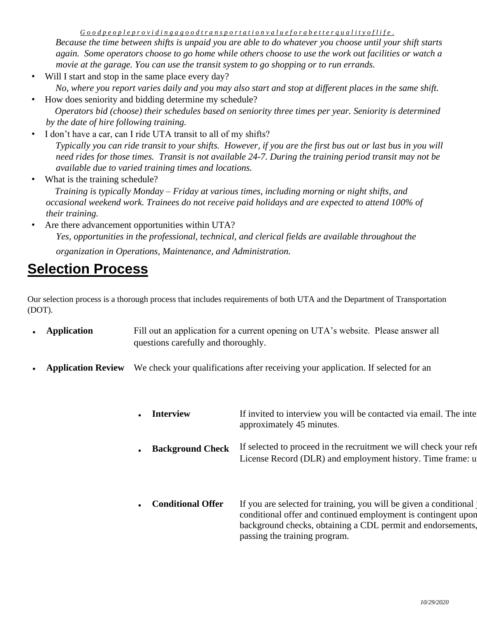*Because the time between shifts is unpaid you are able to do whatever you choose until your shift starts again. Some operators choose to go home while others choose to use the work out facilities or watch a movie at the garage. You can use the transit system to go shopping or to run errands.* 

Will I start and stop in the same place every day?

*No, where you report varies daily and you may also start and stop at different places in the same shift.*  • How does seniority and bidding determine my schedule?

 *Operators bid (choose) their schedules based on seniority three times per year. Seniority is determined by the date of hire following training.* 

- I don't have a car, can I ride UTA transit to all of my shifts? *Typically you can ride transit to your shifts. However, if you are the first bus out or last bus in you will need rides for those times. Transit is not available 24-7. During the training period transit may not be available due to varied training times and locations.*
- What is the training schedule?  *Training is typically Monday – Friday at various times, including morning or night shifts, and occasional weekend work. Trainees do not receive paid holidays and are expected to attend 100% of their training.*
- Are there advancement opportunities within UTA? *Yes, opportunities in the professional, technical, and clerical fields are available throughout the organization in Operations, Maintenance, and Administration.*

#### **Selection Process**

Our selection process is a thorough process that includes requirements of both UTA and the Department of Transportation (DOT).

- **Application** Fill out an application for a current opening on UTA's website. Please answer all questions carefully and thoroughly.
- **Application Review** We check your qualifications after receiving your application. If selected for an
	- • **Interview Background Check**  If invited to interview you will be contacted via email. The interview you will be contacted via email. approximately 45 minutes. If selected to proceed in the recruitment we will check your references. License Record (DLR) and employment history. Time frame: u
	- **Conditional Offer** If you are selected for training, you will be given a conditional conditional offer and continued employment is contingent upon background checks, obtaining a CDL permit and endorsements. passing the training program.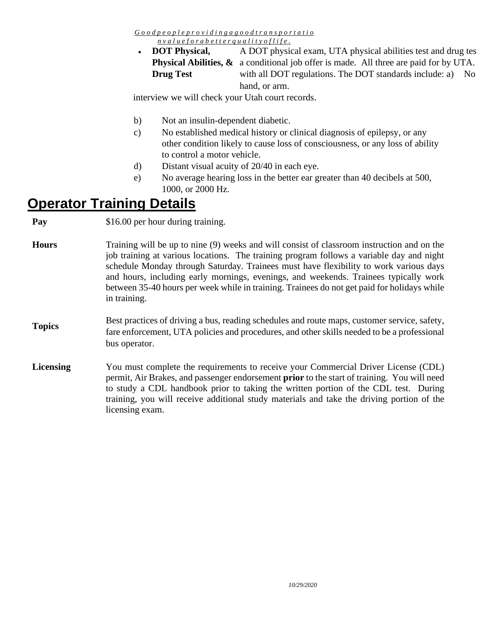*G o o d p e o p l e p r o v i d i n g a g o o d t r a n s p o r t a t i o* 

*n v a l u e f o r a b e t t e r q u a l i t y o f l i f e .*

• **DOT Physical, Drug Test** 

**Physical Abilities,**  $\&$  a conditional job offer is made. All three are paid for by UTA. A DOT physical exam, UTA physical abilities test and drug tes with all DOT regulations. The DOT standards include: a) No hand, or arm.

interview we will check your Utah court records.

- b) Not an insulin-dependent diabetic.
- c) No established medical history or clinical diagnosis of epilepsy, or any other condition likely to cause loss of consciousness, or any loss of ability to control a motor vehicle.
- d) Distant visual acuity of 20/40 in each eye.
- e) No average hearing loss in the better ear greater than 40 decibels at 500, 1000, or 2000 Hz.

#### **Operator Training Details**

**Pay** \$16.00 per hour during training.

| <b>Hours</b> | Training will be up to nine (9) weeks and will consist of classroom instruction and on the<br>job training at various locations. The training program follows a variable day and night<br>schedule Monday through Saturday. Trainees must have flexibility to work various days<br>and hours, including early mornings, evenings, and weekends. Trainees typically work<br>between 35-40 hours per week while in training. Trainees do not get paid for holidays while<br>in training. |
|--------------|----------------------------------------------------------------------------------------------------------------------------------------------------------------------------------------------------------------------------------------------------------------------------------------------------------------------------------------------------------------------------------------------------------------------------------------------------------------------------------------|
|              | Best practices of driving a bus, reading schedules and route maps, customer service, safety,                                                                                                                                                                                                                                                                                                                                                                                           |

- **Topics**  ig a bus, reading schedules and route fare enforcement, UTA policies and procedures, and other skills needed to be a professional bus operator.
- **Licensing** You must complete the requirements to receive your Commercial Driver License (CDL) permit, Air Brakes, and passenger endorsement **prior** to the start of training. You will need to study a CDL handbook prior to taking the written portion of the CDL test. During training, you will receive additional study materials and take the driving portion of the licensing exam.